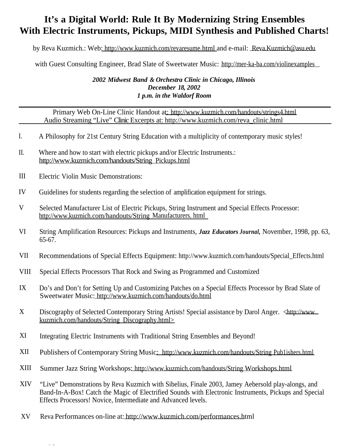## **It's a Digital World: Rule It By Modernizing String Ensembles With Electric Instruments, Pickups, MIDI Synthesis and Published Charts!**

by Reva Kuzmich.: Web: http://www.kuzmich.com/revaresume.html and e-mail: Reva.Kuzmich@asu.edu

with Guest Consulting Engineer, Brad Slate of Sweetwater Music: http://mer-ka-ba.com/violinexamples

## *2002 Midwest Band & Orchestra Clinic in Chicago, Illinois December 18, 2002 1 p.m. in the Waldorf Room*

Primary Web On-Line Clinic Handout at: http://www.kuzmich.com/handouts/strings4.html Audio Streaming "Live" Clinic Excerpts at: http://www.kuzmich.com/reva\_clinic.html

- I. A Philosophy for 21st Century String Education with a multiplicity of contemporary music styles!
- II. Where and how to start with electric pickups and/or Electric Instruments.: http://www.kuzmich.com/handouts/String Pickups.html
- III Electric Violin Music Demonstrations:
- IV Guidelines for students regarding the selection of amplification equipment for strings.
- V Selected Manufacturer List of Electric Pickups, String Instrument and Special Effects Processor: http://www.kuzmich.com/handouts/String Manufacturers. html
- VI String Amplification Resources: Pickups and Instruments, *Jazz Educators Journal,* November, 1998, pp. 63, 65-67.
- VII Recommendations of Special Effects Equipment: http://www.kuzmich.com/handouts/Special\_Effects.html
- **VIII** Special Effects Processors That Rock and Swing as Programmed and Customized
- IX Do's and Don't for Setting Up and Customizing Patches on a Special Effects Processor by Brad Slate of Sweetwater Music: http://www.kuzmich.com/handouts/do.html
- X Discography of Selected Contemporary String Artists! Special assistance by Darol Anger. <http://www. kuzmich.com/handouts/String Discography.html>
- XI Integrating Electric Instruments with Traditional String Ensembles and Beyond!
- XII Publishers of Contemporary String Music: http://www.kuzmich.com/handouts/String Pub1ishers.html
- XIII Summer Jazz String Workshops: http://www.kuzmich.com/handouts/String Workshops.html
- XIV "Live" Demonstrations by Reva Kuzmich with Sibelius, Finale 2003, Jamey Aebersold play-alongs, and Band-In-A-Box! Catch the Magic of Electrified Sounds with Electronic Instruments, Pickups and Special Effects Processors! Novice, Intermediate and Advanced levels.
- XV Reva Performances on-line at: http://www.kuzmich.com/performances.html http://www.kuzmich.com/performances.html